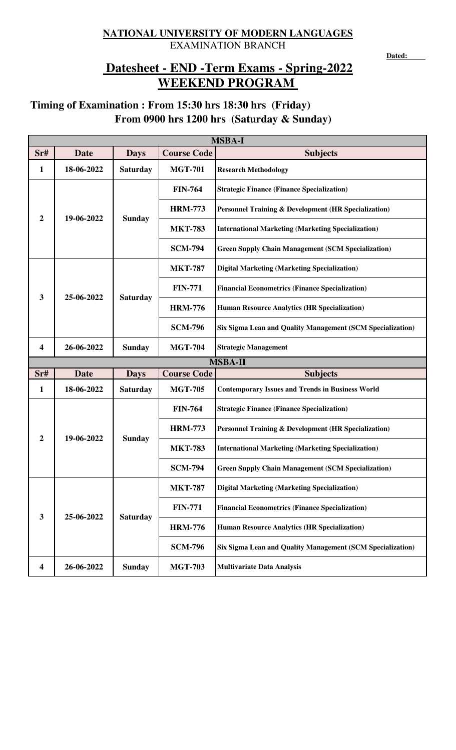## **NATIONAL UNIVERSITY OF MODERN LANGUAGES** EXAMINATION BRANCH

**Dated:** 

## **WEEKEND PROGRAM Datesheet - END -Term Exams - Spring-2022**

## **From 0900 hrs 1200 hrs (Saturday & Sunday) Timing of Examination : From 15:30 hrs 18:30 hrs (Friday)**

| <b>MSBA-I</b>           |             |                 |                    |                                                                 |  |
|-------------------------|-------------|-----------------|--------------------|-----------------------------------------------------------------|--|
| Sr#                     | <b>Date</b> | <b>Days</b>     | <b>Course Code</b> | <b>Subjects</b>                                                 |  |
| $\mathbf{1}$            | 18-06-2022  | <b>Saturday</b> | <b>MGT-701</b>     | <b>Research Methodology</b>                                     |  |
| 2                       | 19-06-2022  | <b>Sunday</b>   | <b>FIN-764</b>     | <b>Strategic Finance (Finance Specialization)</b>               |  |
|                         |             |                 | <b>HRM-773</b>     | <b>Personnel Training &amp; Development (HR Specialization)</b> |  |
|                         |             |                 | <b>MKT-783</b>     | <b>International Marketing (Marketing Specialization)</b>       |  |
|                         |             |                 | <b>SCM-794</b>     | <b>Green Supply Chain Management (SCM Specialization)</b>       |  |
| 3                       | 25-06-2022  | <b>Saturday</b> | <b>MKT-787</b>     | <b>Digital Marketing (Marketing Specialization)</b>             |  |
|                         |             |                 | <b>FIN-771</b>     | <b>Financial Econometrics (Finance Specialization)</b>          |  |
|                         |             |                 | <b>HRM-776</b>     | <b>Human Resource Analytics (HR Specialization)</b>             |  |
|                         |             |                 | <b>SCM-796</b>     | Six Sigma Lean and Quality Management (SCM Specialization)      |  |
| $\overline{\mathbf{4}}$ | 26-06-2022  | <b>Sunday</b>   | <b>MGT-704</b>     | <b>Strategic Management</b>                                     |  |
|                         |             |                 |                    | <b>MSBA-II</b>                                                  |  |
| Sr#                     | <b>Date</b> | <b>Days</b>     | <b>Course Code</b> | <b>Subjects</b>                                                 |  |
| 1                       | 18-06-2022  | <b>Saturday</b> | <b>MGT-705</b>     | <b>Contemporary Issues and Trends in Business World</b>         |  |
| $\overline{2}$          | 19-06-2022  | <b>Sunday</b>   | <b>FIN-764</b>     | <b>Strategic Finance (Finance Specialization)</b>               |  |
|                         |             |                 | <b>HRM-773</b>     | <b>Personnel Training &amp; Development (HR Specialization)</b> |  |
|                         |             |                 | <b>MKT-783</b>     | <b>International Marketing (Marketing Specialization)</b>       |  |
|                         |             |                 | <b>SCM-794</b>     | <b>Green Supply Chain Management (SCM Specialization)</b>       |  |
| $\mathbf{3}$            | 25-06-2022  | <b>Saturday</b> | <b>MKT-787</b>     | <b>Digital Marketing (Marketing Specialization)</b>             |  |
|                         |             |                 | <b>FIN-771</b>     | <b>Financial Econometrics (Finance Specialization)</b>          |  |
|                         |             |                 | <b>HRM-776</b>     | <b>Human Resource Analytics (HR Specialization)</b>             |  |
|                         |             |                 |                    |                                                                 |  |
|                         |             |                 | <b>SCM-796</b>     | Six Sigma Lean and Quality Management (SCM Specialization)      |  |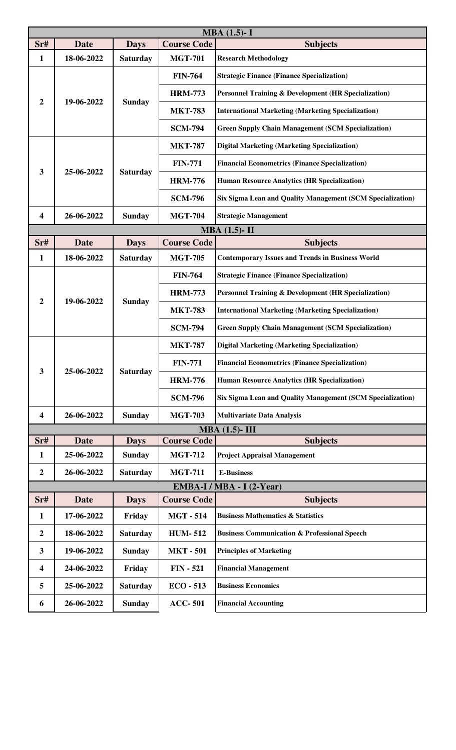| $MBA (1.5) - I$           |             |                 |                    |                                                            |  |
|---------------------------|-------------|-----------------|--------------------|------------------------------------------------------------|--|
| Sr#                       | <b>Date</b> | <b>Days</b>     | <b>Course Code</b> | <b>Subjects</b>                                            |  |
| 1                         | 18-06-2022  | <b>Saturday</b> | <b>MGT-701</b>     | <b>Research Methodology</b>                                |  |
|                           |             |                 | <b>FIN-764</b>     | <b>Strategic Finance (Finance Specialization)</b>          |  |
|                           | 19-06-2022  | <b>Sunday</b>   | <b>HRM-773</b>     | Personnel Training & Development (HR Specialization)       |  |
| 2                         |             |                 | <b>MKT-783</b>     | <b>International Marketing (Marketing Specialization)</b>  |  |
|                           |             |                 | <b>SCM-794</b>     | <b>Green Supply Chain Management (SCM Specialization)</b>  |  |
| 3                         | 25-06-2022  | <b>Saturday</b> | <b>MKT-787</b>     | <b>Digital Marketing (Marketing Specialization)</b>        |  |
|                           |             |                 | <b>FIN-771</b>     | <b>Financial Econometrics (Finance Specialization)</b>     |  |
|                           |             |                 | <b>HRM-776</b>     | <b>Human Resource Analytics (HR Specialization)</b>        |  |
|                           |             |                 | <b>SCM-796</b>     | Six Sigma Lean and Quality Management (SCM Specialization) |  |
| 4                         | 26-06-2022  | <b>Sunday</b>   | <b>MGT-704</b>     | <b>Strategic Management</b>                                |  |
|                           |             |                 |                    | $MBA(1.5)$ -II                                             |  |
| $S$ r#                    | <b>Date</b> | <b>Days</b>     | <b>Course Code</b> | <b>Subjects</b>                                            |  |
| 1                         | 18-06-2022  | <b>Saturday</b> | <b>MGT-705</b>     | <b>Contemporary Issues and Trends in Business World</b>    |  |
|                           |             |                 | <b>FIN-764</b>     | <b>Strategic Finance (Finance Specialization)</b>          |  |
| 2                         | 19-06-2022  | <b>Sunday</b>   | <b>HRM-773</b>     | Personnel Training & Development (HR Specialization)       |  |
|                           |             |                 | <b>MKT-783</b>     | International Marketing (Marketing Specialization)         |  |
|                           |             |                 | <b>SCM-794</b>     | <b>Green Supply Chain Management (SCM Specialization)</b>  |  |
|                           | 25-06-2022  | <b>Saturday</b> | <b>MKT-787</b>     | <b>Digital Marketing (Marketing Specialization)</b>        |  |
| $\overline{\mathbf{3}}$   |             |                 | <b>FIN-771</b>     | <b>Financial Econometrics (Finance Specialization)</b>     |  |
|                           |             |                 | <b>HRM-776</b>     | <b>Human Resource Analytics (HR Specialization)</b>        |  |
|                           |             |                 | <b>SCM-796</b>     | Six Sigma Lean and Quality Management (SCM Specialization) |  |
| 4                         | 26-06-2022  | <b>Sunday</b>   | <b>MGT-703</b>     | <b>Multivariate Data Analysis</b>                          |  |
|                           |             |                 |                    | $MBA(1.5)$ -III                                            |  |
| Sr#                       | Date        | <b>Days</b>     | <b>Course Code</b> | <b>Subjects</b>                                            |  |
| 1                         | 25-06-2022  | <b>Sunday</b>   | <b>MGT-712</b>     | <b>Project Appraisal Management</b>                        |  |
| $\boldsymbol{2}$          | 26-06-2022  | <b>Saturday</b> | <b>MGT-711</b>     | <b>E-Business</b>                                          |  |
| EMBA-I / MBA - I (2-Year) |             |                 |                    |                                                            |  |
| Sr#                       | <b>Date</b> | <b>Days</b>     | <b>Course Code</b> | <b>Subjects</b>                                            |  |
| 1                         | 17-06-2022  | Friday          | <b>MGT-514</b>     | <b>Business Mathematics &amp; Statistics</b>               |  |
| $\boldsymbol{2}$          | 18-06-2022  | <b>Saturday</b> | <b>HUM-512</b>     | <b>Business Communication &amp; Professional Speech</b>    |  |
| 3                         | 19-06-2022  | <b>Sunday</b>   | <b>MKT-501</b>     | <b>Principles of Marketing</b>                             |  |
| 4                         | 24-06-2022  | Friday          | $FIN - 521$        | <b>Financial Management</b>                                |  |
| 5                         | 25-06-2022  | <b>Saturday</b> | $ECO - 513$        | <b>Business Economics</b>                                  |  |
| 6                         | 26-06-2022  | <b>Sunday</b>   | <b>ACC-501</b>     | <b>Financial Accounting</b>                                |  |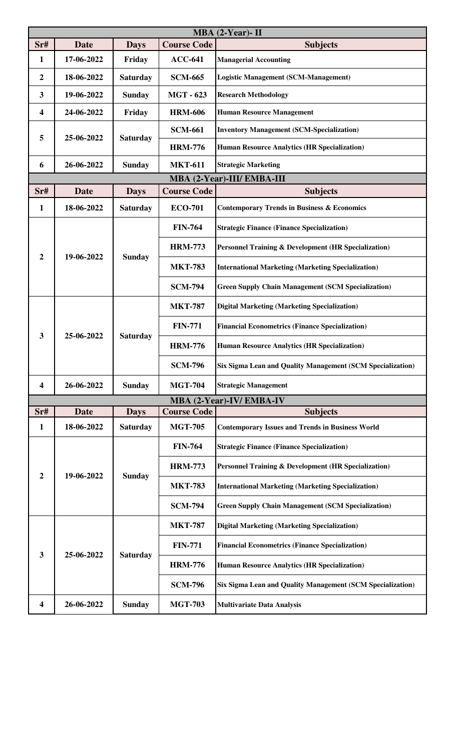| $MBA$ (2-Year)- II      |             |                 |                    |                                                                 |  |
|-------------------------|-------------|-----------------|--------------------|-----------------------------------------------------------------|--|
| Sr#                     | <b>Date</b> | <b>Days</b>     | <b>Course Code</b> | <b>Subjects</b>                                                 |  |
| 1                       | 17-06-2022  | Friday          | $ACC-641$          | <b>Managerial Accounting</b>                                    |  |
| 2                       | 18-06-2022  | <b>Saturday</b> | <b>SCM-665</b>     | <b>Logistic Management (SCM-Management)</b>                     |  |
| 3                       | 19-06-2022  | <b>Sunday</b>   | <b>MGT - 623</b>   | <b>Research Methodology</b>                                     |  |
| $\overline{\mathbf{4}}$ | 24-06-2022  | Friday          | <b>HRM-606</b>     | <b>Human Resource Management</b>                                |  |
| 5                       | 25-06-2022  | <b>Saturday</b> | <b>SCM-661</b>     | <b>Inventory Management (SCM-Specialization)</b>                |  |
|                         |             |                 | <b>HRM-776</b>     | <b>Human Resource Analytics (HR Specialization)</b>             |  |
| 6                       | 26-06-2022  | <b>Sunday</b>   | <b>MKT-611</b>     | <b>Strategic Marketing</b>                                      |  |
|                         |             |                 |                    | MBA (2-Year)-III/ EMBA-III                                      |  |
| Sr#                     | <b>Date</b> | <b>Days</b>     | <b>Course Code</b> | <b>Subjects</b>                                                 |  |
| 1                       | 18-06-2022  | <b>Saturday</b> | <b>ECO-701</b>     | <b>Contemporary Trends in Business &amp; Economics</b>          |  |
|                         | 19-06-2022  | <b>Sunday</b>   | <b>FIN-764</b>     | <b>Strategic Finance (Finance Specialization)</b>               |  |
| 2                       |             |                 | <b>HRM-773</b>     | <b>Personnel Training &amp; Development (HR Specialization)</b> |  |
|                         |             |                 | <b>MKT-783</b>     | <b>International Marketing (Marketing Specialization)</b>       |  |
|                         |             |                 | <b>SCM-794</b>     | <b>Green Supply Chain Management (SCM Specialization)</b>       |  |
|                         | 25-06-2022  | <b>Saturday</b> | <b>MKT-787</b>     | <b>Digital Marketing (Marketing Specialization)</b>             |  |
| 3                       |             |                 | <b>FIN-771</b>     | <b>Financial Econometrics (Finance Specialization)</b>          |  |
|                         |             |                 | <b>HRM-776</b>     | <b>Human Resource Analytics (HR Specialization)</b>             |  |
|                         |             |                 | <b>SCM-796</b>     | Six Sigma Lean and Quality Management (SCM Specialization)      |  |
| 4                       | 26-06-2022  | <b>Sunday</b>   | <b>MGT-704</b>     | <b>Strategic Management</b>                                     |  |
|                         |             |                 |                    | MBA (2-Year)-IV/EMBA-IV                                         |  |
| Sr#                     | Date        | <b>Days</b>     | <b>Course Code</b> | <b>Subjects</b>                                                 |  |
| $\mathbf{1}$            | 18-06-2022  | <b>Saturday</b> | <b>MGT-705</b>     | <b>Contemporary Issues and Trends in Business World</b>         |  |
| $\overline{2}$          | 19-06-2022  | <b>Sunday</b>   | <b>FIN-764</b>     | <b>Strategic Finance (Finance Specialization)</b>               |  |
|                         |             |                 | <b>HRM-773</b>     | <b>Personnel Training &amp; Development (HR Specialization)</b> |  |
|                         |             |                 | <b>MKT-783</b>     | <b>International Marketing (Marketing Specialization)</b>       |  |
|                         |             |                 | <b>SCM-794</b>     | <b>Green Supply Chain Management (SCM Specialization)</b>       |  |
| 3                       | 25-06-2022  | <b>Saturday</b> | <b>MKT-787</b>     | <b>Digital Marketing (Marketing Specialization)</b>             |  |
|                         |             |                 | <b>FIN-771</b>     | <b>Financial Econometrics (Finance Specialization)</b>          |  |
|                         |             |                 | <b>HRM-776</b>     | <b>Human Resource Analytics (HR Specialization)</b>             |  |
|                         |             |                 | <b>SCM-796</b>     | Six Sigma Lean and Quality Management (SCM Specialization)      |  |
| 4                       | 26-06-2022  | <b>Sunday</b>   | <b>MGT-703</b>     | <b>Multivariate Data Analysis</b>                               |  |